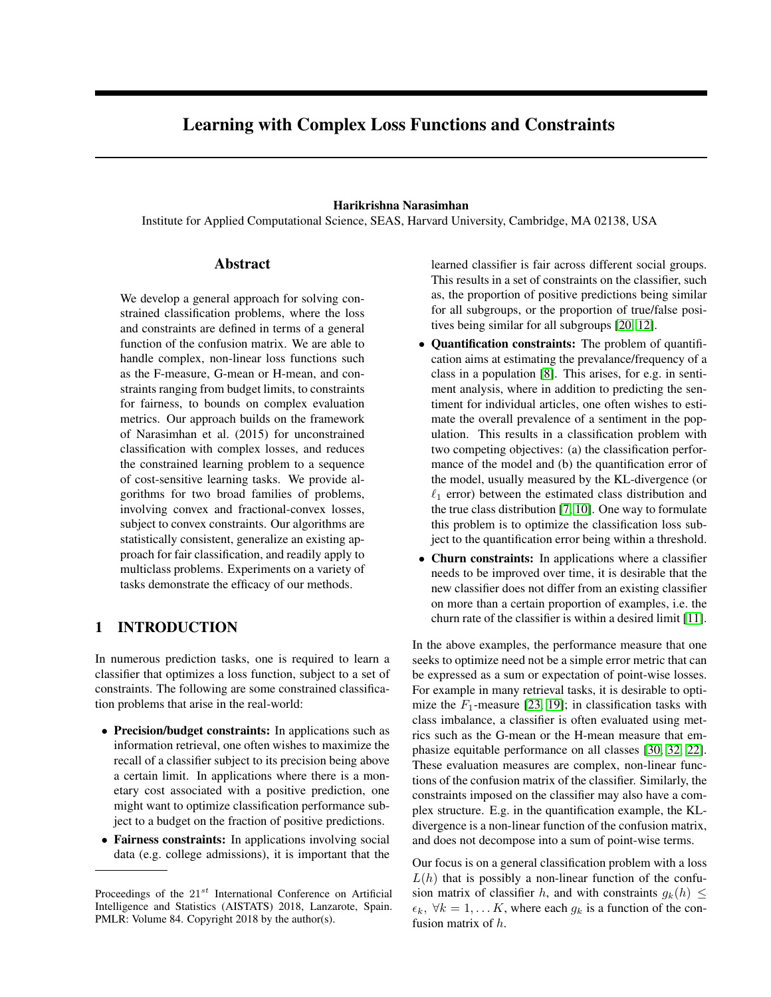# Learning with Complex Loss Functions and Constraints

### Harikrishna Narasimhan

Institute for Applied Computational Science, SEAS, Harvard University, Cambridge, MA 02138, USA

# Abstract

We develop a general approach for solving constrained classification problems, where the loss and constraints are defined in terms of a general function of the confusion matrix. We are able to handle complex, non-linear loss functions such as the F-measure, G-mean or H-mean, and constraints ranging from budget limits, to constraints for fairness, to bounds on complex evaluation metrics. Our approach builds on the framework of Narasimhan et al. (2015) for unconstrained classification with complex losses, and reduces the constrained learning problem to a sequence of cost-sensitive learning tasks. We provide algorithms for two broad families of problems, involving convex and fractional-convex losses, subject to convex constraints. Our algorithms are statistically consistent, generalize an existing approach for fair classification, and readily apply to multiclass problems. Experiments on a variety of tasks demonstrate the efficacy of our methods.

### 1 INTRODUCTION

In numerous prediction tasks, one is required to learn a classifier that optimizes a loss function, subject to a set of constraints. The following are some constrained classification problems that arise in the real-world:

- Precision/budget constraints: In applications such as information retrieval, one often wishes to maximize the recall of a classifier subject to its precision being above a certain limit. In applications where there is a monetary cost associated with a positive prediction, one might want to optimize classification performance subject to a budget on the fraction of positive predictions.
- Fairness constraints: In applications involving social data (e.g. college admissions), it is important that the

learned classifier is fair across different social groups. This results in a set of constraints on the classifier, such as, the proportion of positive predictions being similar for all subgroups, or the proportion of true/false positives being similar for all subgroups [\[20,](#page-8-0) [12\]](#page-8-1).

- Quantification constraints: The problem of quantification aims at estimating the prevalance/frequency of a class in a population [\[8\]](#page-8-2). This arises, for e.g. in sentiment analysis, where in addition to predicting the sentiment for individual articles, one often wishes to estimate the overall prevalence of a sentiment in the population. This results in a classification problem with two competing objectives: (a) the classification performance of the model and (b) the quantification error of the model, usually measured by the KL-divergence (or  $\ell_1$  error) between the estimated class distribution and the true class distribution [\[7,](#page-8-3) [10\]](#page-8-4). One way to formulate this problem is to optimize the classification loss subject to the quantification error being within a threshold.
- Churn constraints: In applications where a classifier needs to be improved over time, it is desirable that the new classifier does not differ from an existing classifier on more than a certain proportion of examples, i.e. the churn rate of the classifier is within a desired limit [\[11\]](#page-8-5).

In the above examples, the performance measure that one seeks to optimize need not be a simple error metric that can be expressed as a sum or expectation of point-wise losses. For example in many retrieval tasks, it is desirable to optimize the  $F_1$ -measure [\[23,](#page-8-6) [19\]](#page-8-7); in classification tasks with class imbalance, a classifier is often evaluated using metrics such as the G-mean or the H-mean measure that emphasize equitable performance on all classes [\[30,](#page-8-8) [32,](#page-8-9) [22\]](#page-8-10). These evaluation measures are complex, non-linear functions of the confusion matrix of the classifier. Similarly, the constraints imposed on the classifier may also have a complex structure. E.g. in the quantification example, the KLdivergence is a non-linear function of the confusion matrix, and does not decompose into a sum of point-wise terms.

Our focus is on a general classification problem with a loss  $L(h)$  that is possibly a non-linear function of the confusion matrix of classifier h, and with constraints  $g_k(h) \leq$  $\epsilon_k$ ,  $\forall k = 1, \dots K$ , where each  $g_k$  is a function of the confusion matrix of h.

Proceedings of the  $21^{st}$  International Conference on Artificial Intelligence and Statistics (AISTATS) 2018, Lanzarote, Spain. PMLR: Volume 84. Copyright 2018 by the author(s).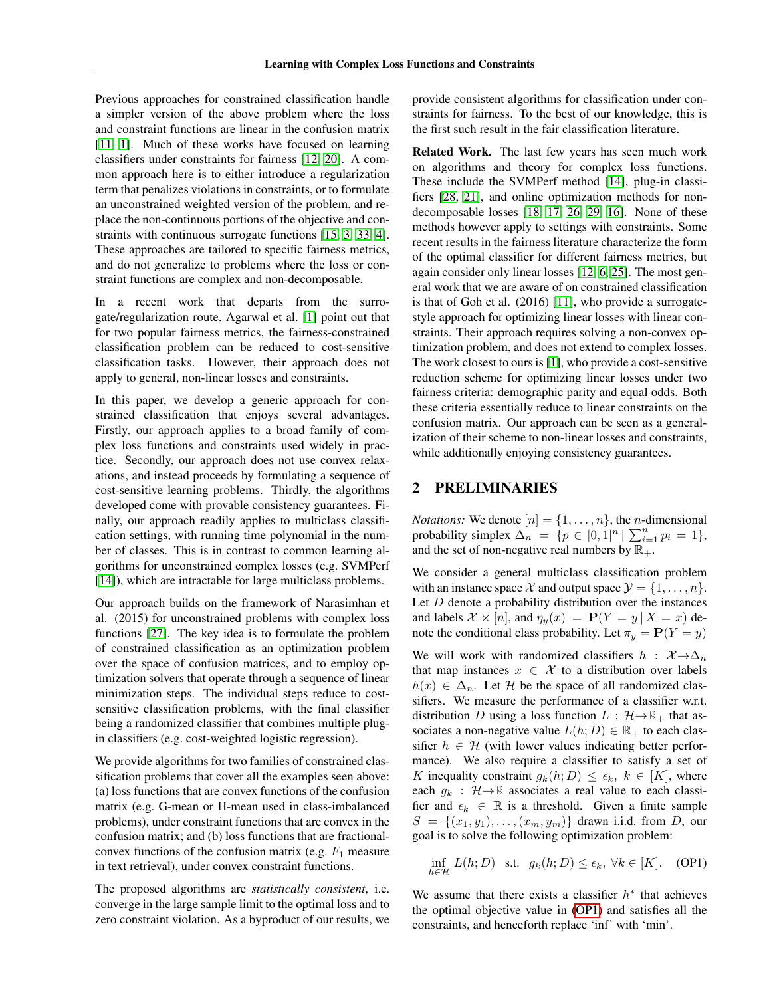Previous approaches for constrained classification handle a simpler version of the above problem where the loss and constraint functions are linear in the confusion matrix [\[11,](#page-8-5) [1\]](#page-8-11). Much of these works have focused on learning classifiers under constraints for fairness [\[12,](#page-8-1) [20\]](#page-8-0). A common approach here is to either introduce a regularization term that penalizes violations in constraints, or to formulate an unconstrained weighted version of the problem, and replace the non-continuous portions of the objective and constraints with continuous surrogate functions [\[15,](#page-8-12) [3,](#page-8-13) [33,](#page-8-14) [4\]](#page-8-15). These approaches are tailored to specific fairness metrics, and do not generalize to problems where the loss or constraint functions are complex and non-decomposable.

In a recent work that departs from the surrogate/regularization route, Agarwal et al. [\[1\]](#page-8-11) point out that for two popular fairness metrics, the fairness-constrained classification problem can be reduced to cost-sensitive classification tasks. However, their approach does not apply to general, non-linear losses and constraints.

In this paper, we develop a generic approach for constrained classification that enjoys several advantages. Firstly, our approach applies to a broad family of complex loss functions and constraints used widely in practice. Secondly, our approach does not use convex relaxations, and instead proceeds by formulating a sequence of cost-sensitive learning problems. Thirdly, the algorithms developed come with provable consistency guarantees. Finally, our approach readily applies to multiclass classification settings, with running time polynomial in the number of classes. This is in contrast to common learning algorithms for unconstrained complex losses (e.g. SVMPerf [\[14\]](#page-8-16)), which are intractable for large multiclass problems.

Our approach builds on the framework of Narasimhan et al. (2015) for unconstrained problems with complex loss functions [\[27\]](#page-8-17). The key idea is to formulate the problem of constrained classification as an optimization problem over the space of confusion matrices, and to employ optimization solvers that operate through a sequence of linear minimization steps. The individual steps reduce to costsensitive classification problems, with the final classifier being a randomized classifier that combines multiple plugin classifiers (e.g. cost-weighted logistic regression).

We provide algorithms for two families of constrained classification problems that cover all the examples seen above: (a) loss functions that are convex functions of the confusion matrix (e.g. G-mean or H-mean used in class-imbalanced problems), under constraint functions that are convex in the confusion matrix; and (b) loss functions that are fractionalconvex functions of the confusion matrix (e.g.  $F_1$  measure in text retrieval), under convex constraint functions.

The proposed algorithms are *statistically consistent*, i.e. converge in the large sample limit to the optimal loss and to zero constraint violation. As a byproduct of our results, we provide consistent algorithms for classification under constraints for fairness. To the best of our knowledge, this is the first such result in the fair classification literature.

Related Work. The last few years has seen much work on algorithms and theory for complex loss functions. These include the SVMPerf method [\[14\]](#page-8-16), plug-in classifiers [\[28,](#page-8-18) [21\]](#page-8-19), and online optimization methods for nondecomposable losses [\[18,](#page-8-20) [17,](#page-8-21) [26,](#page-8-22) [29,](#page-8-23) [16\]](#page-8-24). None of these methods however apply to settings with constraints. Some recent results in the fairness literature characterize the form of the optimal classifier for different fairness metrics, but again consider only linear losses [\[12,](#page-8-1) [6,](#page-8-25) [25\]](#page-8-26). The most general work that we are aware of on constrained classification is that of Goh et al. (2016) [\[11\]](#page-8-5), who provide a surrogatestyle approach for optimizing linear losses with linear constraints. Their approach requires solving a non-convex optimization problem, and does not extend to complex losses. The work closest to ours is [\[1\]](#page-8-11), who provide a cost-sensitive reduction scheme for optimizing linear losses under two fairness criteria: demographic parity and equal odds. Both these criteria essentially reduce to linear constraints on the confusion matrix. Our approach can be seen as a generalization of their scheme to non-linear losses and constraints, while additionally enjoying consistency guarantees.

# 2 PRELIMINARIES

*Notations:* We denote  $[n] = \{1, \ldots, n\}$ , the *n*-dimensional probability simplex  $\Delta_n = \{p \in [0,1]^n \mid \sum_{i=1}^n p_i = 1\},\$ and the set of non-negative real numbers by  $\mathbb{R}_+$ .

We consider a general multiclass classification problem with an instance space X and output space  $\mathcal{Y} = \{1, \ldots, n\}.$ Let  $D$  denote a probability distribution over the instances and labels  $\mathcal{X} \times [n]$ , and  $\eta_y(x) = \mathbf{P}(Y = y | X = x)$  denote the conditional class probability. Let  $\pi_y = P(Y = y)$ We will work with randomized classifiers  $h : \mathcal{X} \rightarrow \Delta_n$ that map instances  $x \in \mathcal{X}$  to a distribution over labels  $h(x) \in \Delta_n$ . Let H be the space of all randomized classifiers. We measure the performance of a classifier w.r.t. distribution D using a loss function  $L : \mathcal{H} \rightarrow \mathbb{R}_+$  that associates a non-negative value  $L(h; D) \in \mathbb{R}_+$  to each classifier  $h \in \mathcal{H}$  (with lower values indicating better performance). We also require a classifier to satisfy a set of K inequality constraint  $g_k(h; D) \leq \epsilon_k, k \in [K]$ , where each  $g_k$  :  $\mathcal{H}\rightarrow\mathbb{R}$  associates a real value to each classifier and  $\epsilon_k \in \mathbb{R}$  is a threshold. Given a finite sample  $S = \{(x_1, y_1), \ldots, (x_m, y_m)\}\)$  drawn i.i.d. from D, our goal is to solve the following optimization problem:

<span id="page-1-0"></span>
$$
\inf_{h \in \mathcal{H}} L(h; D) \quad \text{s.t.} \quad g_k(h; D) \le \epsilon_k, \ \forall k \in [K]. \tag{OP1}
$$

We assume that there exists a classifier  $h^*$  that achieves the optimal objective value in [\(OP1\)](#page-1-0) and satisfies all the constraints, and henceforth replace 'inf' with 'min'.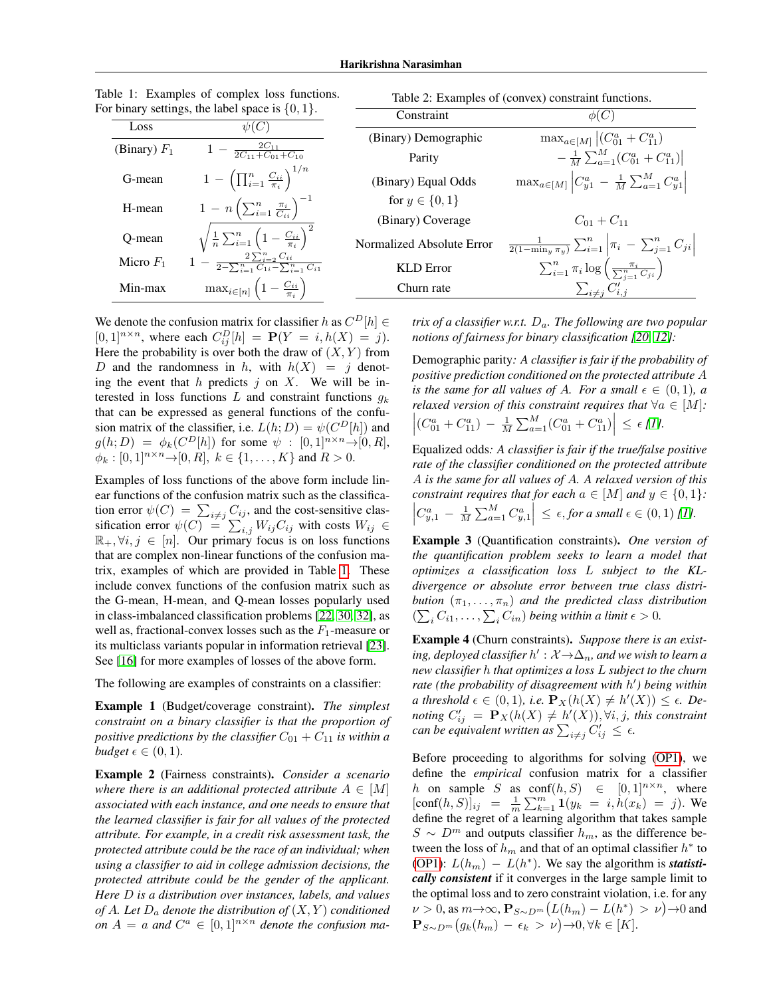<span id="page-2-0"></span>

| or binary settings, the label space is $\{0, 1\}$ . |                                                                               | Constraint                | $\phi(C)$                                                                             |  |  |
|-----------------------------------------------------|-------------------------------------------------------------------------------|---------------------------|---------------------------------------------------------------------------------------|--|--|
| Loss                                                | $\psi(C)$                                                                     |                           |                                                                                       |  |  |
|                                                     |                                                                               | (Binary) Demographic      | $\max_{a \in [M]}  (C_{01}^a + C_{11}^a) $                                            |  |  |
| (Binary) $F_1$                                      | $1 - \frac{2C_{11}}{2C_{11} + C_{01} + C_{10}}$                               | Parity                    | $-\frac{1}{M}\sum_{a=1}^{M}(C_{01}^a+C_{11}^a)$                                       |  |  |
| G-mean                                              | $1-\left(\prod_{i=1}^n\frac{C_{ii}}{\pi_i}\right)^{1/n}$                      | (Binary) Equal Odds       | $\max_{a \in [M]}  C_{y1}^a - \frac{1}{M} \sum_{a=1}^M C_{y1}^a $                     |  |  |
| H-mean                                              | $1 - n \left( \sum_{i=1}^n \frac{\pi_i}{C_{ii}} \right)^{-1}$                 | for $y \in \{0, 1\}$      |                                                                                       |  |  |
|                                                     |                                                                               | (Binary) Coverage         | $C_{01} + C_{11}$                                                                     |  |  |
| Q-mean                                              | $\sqrt{\frac{1}{n}\sum_{i=1}^n \left(1-\frac{C_{ii}}{\pi_i}\right)^2}$        | Normalized Absolute Error | $\frac{1}{2(1-\min_y \pi_y)} \sum_{i=1}^n \left  \pi_i - \sum_{j=1}^n C_{ji} \right $ |  |  |
| Micro $F_1$                                         | $1-\frac{2\sum_{i=2}^{n}C_{ii}}{2-\sum_{i=1}^{n}C_{1i}-\sum_{i=1}^{n}C_{i1}}$ | <b>KLD</b> Error          | $\sum_{i=1}^n \pi_i \log \left( \frac{\pi_i}{\sum_{i=1}^n C_{ji}} \right)$            |  |  |
| Min-max                                             | $\max_{i \in [n]} (1 - \frac{C_{ii}}{\pi_i})$                                 | Churn rate                | $\sum_{i\neq j} C'_{i,j}$                                                             |  |  |

Table 1: Examples of complex loss functions. For binary settings, the label space is  $\{0, 1\}$ .

We denote the confusion matrix for classifier h as  $C^{D}[h] \in$  $[0, 1]^{n \times n}$ , where each  $C_{ij}^D[h] = \mathbf{P}(Y = i, h(X) = j)$ . Here the probability is over both the draw of  $(X, Y)$  from D and the randomness in h, with  $h(X) = j$  denoting the event that h predicts  $i$  on X. We will be interested in loss functions L and constraint functions  $q_k$ that can be expressed as general functions of the confusion matrix of the classifier, i.e.  $L(h;D) = \psi(C^D[h])$  and  $g(h;D) = \phi_k(C^D[h])$  for some  $\psi : [0,1]^{n \times n} \rightarrow [0,R],$  $\phi_k : [0,1]^{n \times n} \to [0,R], k \in \{1, \ldots, K\}$  and  $R > 0$ .

Examples of loss functions of the above form include linear functions of the confusion matrix such as the classification error  $\psi(C) = \sum_{i \neq j} C_{ij}$ , and the cost-sensitive classification error  $\psi(C) = \sum_{i,j} W_{ij} C_{ij}$  with costs  $W_{ij} \in$  $\mathbb{R}_+$ ,  $\forall i, j \in [n]$ . Our primary focus is on loss functions that are complex non-linear functions of the confusion matrix, examples of which are provided in Table [1.](#page-2-0) These include convex functions of the confusion matrix such as the G-mean, H-mean, and Q-mean losses popularly used in class-imbalanced classification problems [\[22,](#page-8-10) [30,](#page-8-8) [32\]](#page-8-9), as well as, fractional-convex losses such as the  $F_1$ -measure or its multiclass variants popular in information retrieval [\[23\]](#page-8-6). See [\[16\]](#page-8-24) for more examples of losses of the above form.

The following are examples of constraints on a classifier:

Example 1 (Budget/coverage constraint). *The simplest constraint on a binary classifier is that the proportion of positive predictions by the classifier*  $C_{01} + C_{11}$  *is within a budget*  $\epsilon \in (0,1)$ *.* 

Example 2 (Fairness constraints). *Consider a scenario where there is an additional protected attribute*  $A \in [M]$ *associated with each instance, and one needs to ensure that the learned classifier is fair for all values of the protected attribute. For example, in a credit risk assessment task, the protected attribute could be the race of an individual; when using a classifier to aid in college admission decisions, the protected attribute could be the gender of the applicant. Here* D *is a distribution over instances, labels, and values* of A. Let  $D_a$  denote the distribution of  $(X, Y)$  conditioned *on*  $A = a$  *and*  $C^a \in [0,1]^{n \times n}$  *denote the confusion ma-*

*trix of a classifier w.r.t.* Da*. The following are two popular notions of fairness for binary classification [\[20,](#page-8-0) [12\]](#page-8-1):*

<span id="page-2-1"></span>Table 2: Examples of (convex) constraint functions.

Demographic parity*: A classifier is fair if the probability of positive prediction conditioned on the protected attribute* A *is the same for all values of A. For a small*  $\epsilon \in (0,1)$ *, a relaxed version of this constraint requires that*  $\forall a \in [M]:$  $\left| (C_{01}^a + C_{11}^a) - \frac{1}{M} \sum_{a=1}^M (C_{01}^a + C_{11}^a) \right| \le \epsilon$  [\[1\]](#page-8-11).

Equalized odds*: A classifier is fair if the true/false positive rate of the classifier conditioned on the protected attribute* A *is the same for all values of* A*. A relaxed version of this constraint requires that for each*  $a \in [M]$  *and*  $y \in \{0, 1\}$ *:*  $\left| C_{y,1}^a - \frac{1}{M} \sum_{a=1}^M C_{y,1}^a \right| \leq \epsilon$ , for a small  $\epsilon \in (0,1)$  [\[1\]](#page-8-11).

Example 3 (Quantification constraints). *One version of the quantification problem seeks to learn a model that optimizes a classification loss* L *subject to the KLdivergence or absolute error between true class distribution*  $(\pi_1, \ldots, \pi_n)$  *and the predicted class distribution*  $\left(\sum_i C_{i1}, \ldots, \sum_i C_{in}\right)$  *being within a limit*  $\epsilon > 0$ *.* 

Example 4 (Churn constraints). *Suppose there is an exist*ing, deployed classifier  $h': \mathcal{X} {\rightarrow} \Delta_n$ , and we wish to learn a *new classifier* h *that optimizes a loss* L *subject to the churn rate (the probability of disagreement with* h 0 *) being within a* threshold  $\epsilon \in (0,1)$ , i.e.  $\mathbf{P}_X(h(X) \neq h'(X)) \leq \epsilon$ . Denoting  $C'_{ij} = \mathbf{P}_X(h(X) \neq h'(X)), \forall i, j$ , this constraint *can be equivalent written as*  $\sum_{i \neq j} C'_{ij} \leq \epsilon$ .

Before proceeding to algorithms for solving [\(OP1\)](#page-1-0), we define the *empirical* confusion matrix for a classifier h on sample S as  $conf(h, S) \in [0, 1]^{n \times n}$ , where  $[\text{conf}(h, S)]_{ij} = \frac{1}{m} \sum_{k=1}^{m} \mathbf{1}(y_k = i, h(x_k) = j).$  We define the regret of a learning algorithm that takes sample  $S \sim D^m$  and outputs classifier  $h_m$ , as the difference between the loss of  $h_m$  and that of an optimal classifier  $h^*$  to [\(OP1\)](#page-1-0):  $L(h_m) - L(h^*)$ . We say the algorithm is *statistically consistent* if it converges in the large sample limit to the optimal loss and to zero constraint violation, i.e. for any  $\nu > 0$ , as  $m \to \infty$ ,  $\mathbf{P}_{S \sim D^m} (L(h_m) - L(h^*) > \nu) \to 0$  and  $\mathbf{P}_{S\sim D^{m}}(g_{k}(h_{m}) - \epsilon_{k} > \nu) \rightarrow 0, \forall k \in [K].$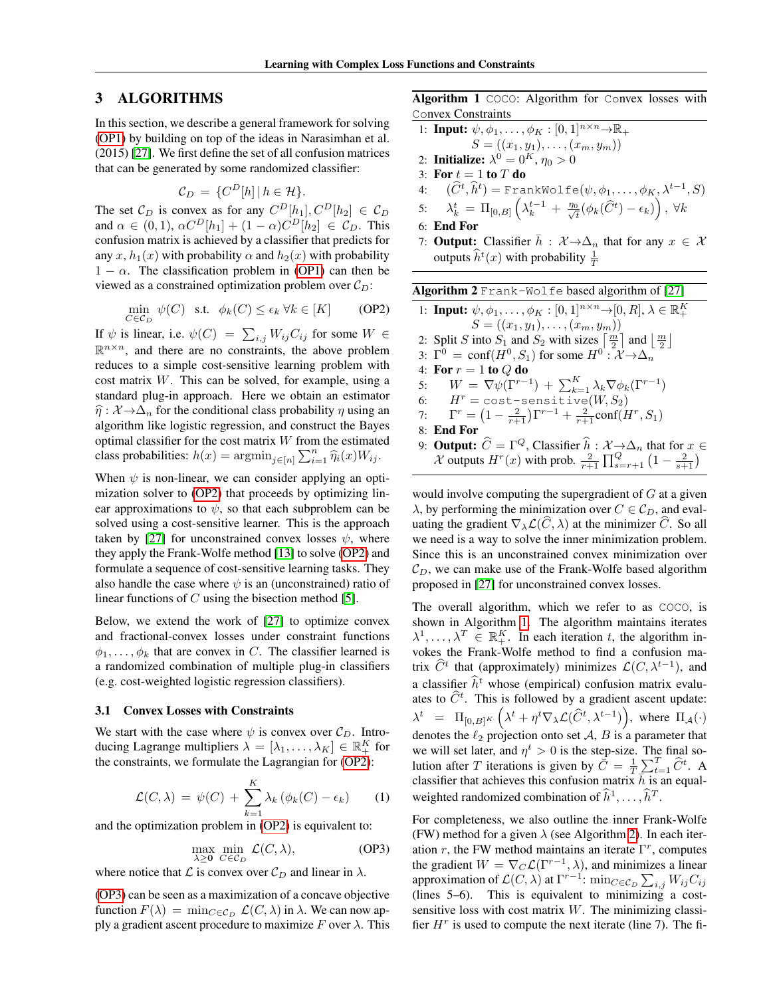# 3 ALGORITHMS

In this section, we describe a general framework for solving [\(OP1\)](#page-1-0) by building on top of the ideas in Narasimhan et al. (2015) [\[27\]](#page-8-17). We first define the set of all confusion matrices that can be generated by some randomized classifier:

$$
\mathcal{C}_D = \{C^D[h] \, | \, h \in \mathcal{H}\}.
$$

The set  $\mathcal{C}_D$  is convex as for any  $C^D[h_1], C^D[h_2] \in \mathcal{C}_D$ and  $\alpha \in (0,1)$ ,  $\alpha C^{D}[h_1] + (1-\alpha)C^{D}[h_2] \in \mathcal{C}_D$ . This confusion matrix is achieved by a classifier that predicts for any x,  $h_1(x)$  with probability  $\alpha$  and  $h_2(x)$  with probability  $1 - \alpha$ . The classification problem in [\(OP1\)](#page-1-0) can then be viewed as a constrained optimization problem over  $\mathcal{C}_D$ :

$$
\min_{C \in \mathcal{C}_D} \psi(C) \quad \text{s.t.} \quad \phi_k(C) \le \epsilon_k \ \forall k \in [K] \tag{OP2}
$$

If  $\psi$  is linear, i.e.  $\psi(C) = \sum_{i,j} W_{ij} C_{ij}$  for some  $W \in$  $\mathbb{R}^{n \times n}$ , and there are no constraints, the above problem reduces to a simple cost-sensitive learning problem with cost matrix W. This can be solved, for example, using a standard plug-in approach. Here we obtain an estimator  $\hat{\eta} : \mathcal{X} \rightarrow \Delta_n$  for the conditional class probability  $\eta$  using an algorithm like logistic regression, and construct the Bayes optimal classifier for the cost matrix  $W$  from the estimated class probabilities:  $h(x) = \operatorname{argmin}_{j \in [n]} \sum_{i=1}^n \widehat{\eta}_i(x) W_{ij}$ .

When  $\psi$  is non-linear, we can consider applying an optimization solver to [\(OP2\)](#page-3-0) that proceeds by optimizing linear approximations to  $\psi$ , so that each subproblem can be solved using a cost-sensitive learner. This is the approach taken by [\[27\]](#page-8-17) for unconstrained convex losses  $\psi$ , where they apply the Frank-Wolfe method [\[13\]](#page-8-27) to solve [\(OP2\)](#page-3-0) and formulate a sequence of cost-sensitive learning tasks. They also handle the case where  $\psi$  is an (unconstrained) ratio of linear functions of  $C$  using the bisection method [\[5\]](#page-8-28).

Below, we extend the work of [\[27\]](#page-8-17) to optimize convex and fractional-convex losses under constraint functions  $\phi_1, \ldots, \phi_k$  that are convex in C. The classifier learned is a randomized combination of multiple plug-in classifiers (e.g. cost-weighted logistic regression classifiers).

#### 3.1 Convex Losses with Constraints

We start with the case where  $\psi$  is convex over  $\mathcal{C}_D$ . Introducing Lagrange multipliers  $\lambda = [\lambda_1, \dots, \lambda_K] \in \mathbb{R}_+^K$  for the constraints, we formulate the Lagrangian for [\(OP2\)](#page-3-0):

$$
\mathcal{L}(C,\lambda) = \psi(C) + \sum_{k=1}^{K} \lambda_k (\phi_k(C) - \epsilon_k)
$$
 (1)

and the optimization problem in [\(OP2\)](#page-3-0) is equivalent to:

<span id="page-3-4"></span>
$$
\max_{\lambda \ge 0} \min_{C \in \mathcal{C}_D} \mathcal{L}(C, \lambda),\tag{OP3}
$$

where notice that  $\mathcal L$  is convex over  $\mathcal C_D$  and linear in  $\lambda$ .

[\(OP3\)](#page-3-1) can be seen as a maximization of a concave objective function  $F(\lambda) = \min_{C \in \mathcal{C}_D} \mathcal{L}(C, \lambda)$  in  $\lambda$ . We can now apply a gradient ascent procedure to maximize F over  $\lambda$ . This

<span id="page-3-2"></span>Algorithm 1 COCO: Algorithm for Convex losses with Convex Constraints

1: Input: 
$$
\psi, \phi_1, \ldots, \phi_K : [0, 1]^{n \times n} \to \mathbb{R}_+
$$

 $S = ((x_1, y_1), \ldots, (x_m, y_m))$ 

2: Initialize:  $\lambda^0 = 0^K$ ,  $\eta_0 > 0$ 

- 3: For  $t = 1$  to  $T$  do
- 4:  $(\widehat{C}^t, \widehat{h}^t) = \texttt{FrankWolfe}(\psi, \phi_1, \dots, \phi_K, \lambda^{t-1}, S)$

5: 
$$
\lambda_k^t = \Pi_{[0,B]} \left( \lambda_k^{t-1} + \frac{\eta_0}{\sqrt{t}} (\phi_k(\widehat{C}^t) - \epsilon_k) \right), \ \forall k
$$

6: End For

7: **Output:** Classifier  $\bar{h}$  :  $\mathcal{X} \rightarrow \Delta_n$  that for any  $x \in \mathcal{X}$ outputs  $\widehat{h}^t(x)$  with probability  $\frac{1}{T}$ 

<span id="page-3-3"></span><span id="page-3-0"></span>

would involve computing the supergradient of  $G$  at a given  $\lambda$ , by performing the minimization over  $C \in \mathcal{C}_D$ , and evaluating the gradient  $\nabla_{\lambda} \mathcal{L}(C, \lambda)$  at the minimizer C. So all we need is a way to solve the inner minimization problem. Since this is an unconstrained convex minimization over  $\mathcal{C}_D$ , we can make use of the Frank-Wolfe based algorithm proposed in [\[27\]](#page-8-17) for unconstrained convex losses.

The overall algorithm, which we refer to as COCO, is shown in Algorithm [1.](#page-3-2) The algorithm maintains iterates  $\lambda^1, \ldots, \lambda^T \in \mathbb{R}_+^K$ . In each iteration t, the algorithm invokes the Frank-Wolfe method to find a confusion matrix  $\hat{C}^t$  that (approximately) minimizes  $\mathcal{L}(C, \lambda^{t-1})$ , and a classifier  $\hat{h}^t$  whose (empirical) confusion matrix evaluates to  $\hat{C}^t$ . This is followed by a gradient ascent update:  $\lambda^t$  =  $\Pi_{[0,B]^K}$   $\left(\lambda^t + \eta^t \nabla_{\lambda} \mathcal{L}(\widehat{C}^t, \lambda^{t-1})\right)$ , where  $\Pi_{\mathcal{A}}(\cdot)$ denotes the  $\ell_2$  projection onto set A, B is a parameter that we will set later, and  $\eta^t > 0$  is the step-size. The final solution after T iterations is given by  $\overline{C} = \frac{1}{T} \sum_{t=1}^{T} \overline{C}^t$ . classifier that achieves this confusion matrix  $\overrightarrow{h}$  is an equalweighted randomized combination of  $\hat{h}^1, \dots, \hat{h}^T$ .

<span id="page-3-1"></span>For completeness, we also outline the inner Frank-Wolfe (FW) method for a given  $\lambda$  (see Algorithm [2\)](#page-3-3). In each iteration r, the FW method maintains an iterate  $\Gamma^r$ , computes the gradient  $W = \nabla_C \mathcal{L}(\Gamma^{r-1}, \lambda)$ , and minimizes a linear approximation of  $\mathcal{L}(C,\lambda)$  at  $\Gamma^{r-1}$ :  $\min_{C \in \mathcal{C}_D} \sum_{i,j} W_{ij} C_{ij}$ (lines 5–6). This is equivalent to minimizing a costsensitive loss with cost matrix  $W$ . The minimizing classifier  $H<sup>r</sup>$  is used to compute the next iterate (line 7). The fi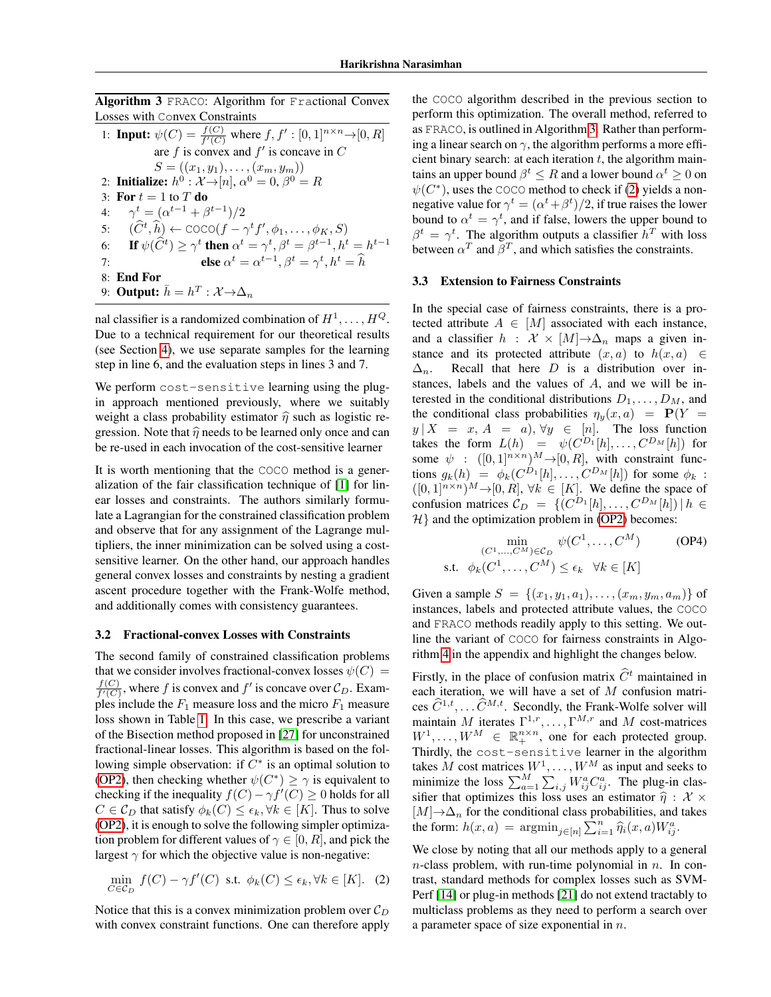<span id="page-4-0"></span>Algorithm 3 FRACO: Algorithm for Fractional Convex Losses with Convex Constraints

1: **Input:** 
$$
\psi(C) = \frac{f(C)}{f'(C)}
$$
 where  $f, f' : [0, 1]^{n \times n} \rightarrow [0, R]$  are  $f$  is convex and  $f'$  is concave in  $C$ \n2: **Initialize:**  $h^0 : \mathcal{X} \rightarrow [n], \alpha^0 = 0, \beta^0 = R$ \n3: **For**  $t = 1$  to  $T$  **do**\n4:  $\gamma^t = (\alpha^{t-1} + \beta^{t-1})/2$ \n5:  $(\hat{C}^t, \hat{h}) \leftarrow \text{COCO}(f - \gamma^t f', \phi_1, \ldots, \phi_K, S)$ \n6: **If**  $\psi(\hat{C}^t) \geq \gamma^t$  **then**  $\alpha^t = \gamma^t, \beta^t = \beta^{t-1}, h^t = h^{t-1}$ \n7: **else**  $\alpha^t = \alpha^{t-1}, \beta^t = \gamma^t, h^t = \hat{h}$ \n8: **End For**\n9: **Output:**  $\bar{h} = h^T : \mathcal{X} \rightarrow \Delta_n$ 

nal classifier is a randomized combination of  $H^1, \ldots, H^Q.$ Due to a technical requirement for our theoretical results (see Section [4\)](#page-5-0), we use separate samples for the learning step in line 6, and the evaluation steps in lines 3 and 7.

We perform cost-sensitive learning using the plugin approach mentioned previously, where we suitably weight a class probability estimator  $\hat{\eta}$  such as logistic regression. Note that  $\hat{\eta}$  needs to be learned only once and can be re-used in each invocation of the cost-sensitive learner

It is worth mentioning that the COCO method is a generalization of the fair classification technique of [\[1\]](#page-8-11) for linear losses and constraints. The authors similarly formulate a Lagrangian for the constrained classification problem and observe that for any assignment of the Lagrange multipliers, the inner minimization can be solved using a costsensitive learner. On the other hand, our approach handles general convex losses and constraints by nesting a gradient ascent procedure together with the Frank-Wolfe method, and additionally comes with consistency guarantees.

#### 3.2 Fractional-convex Losses with Constraints

The second family of constrained classification problems that we consider involves fractional-convex losses  $\psi(C)$  =  $f(C)$  $\frac{f(C)}{f'(C)}$ , where f is convex and f' is concave over  $\mathcal{C}_D$ . Examples include the  $F_1$  measure loss and the micro  $F_1$  measure loss shown in Table [1.](#page-2-0) In this case, we prescribe a variant of the Bisection method proposed in [\[27\]](#page-8-17) for unconstrained fractional-linear losses. This algorithm is based on the following simple observation: if  $C^*$  is an optimal solution to [\(OP2\)](#page-3-0), then checking whether  $\psi(C^*) \ge \gamma$  is equivalent to checking if the inequality  $f(C) - \gamma f'(C) \geq 0$  holds for all  $C \in \mathcal{C}_D$  that satisfy  $\phi_k(C) \leq \epsilon_k, \forall k \in [K]$ . Thus to solve [\(OP2\)](#page-3-0), it is enough to solve the following simpler optimization problem for different values of  $\gamma \in [0, R]$ , and pick the largest  $\gamma$  for which the objective value is non-negative:

$$
\min_{C \in \mathcal{C}_D} f(C) - \gamma f'(C) \text{ s.t. } \phi_k(C) \le \epsilon_k, \forall k \in [K]. \tag{2}
$$

Notice that this is a convex minimization problem over  $\mathcal{C}_D$ with convex constraint functions. One can therefore apply

the COCO algorithm described in the previous section to perform this optimization. The overall method, referred to as FRACO, is outlined in Algorithm [3.](#page-4-0) Rather than performing a linear search on  $\gamma$ , the algorithm performs a more efficient binary search: at each iteration  $t$ , the algorithm maintains an upper bound  $\beta^t \leq R$  and a lower bound  $\alpha^t \geq 0$  on  $\psi(C^*)$ , uses the COCO method to check if [\(2\)](#page-3-4) yields a nonnegative value for  $\gamma^t = (\alpha^t + \beta^t)/2$ , if true raises the lower bound to  $\alpha^t = \gamma^t$ , and if false, lowers the upper bound to  $\beta^t = \gamma^t$ . The algorithm outputs a classifier  $h^T$  with loss between  $\alpha^T$  and  $\beta^T$ , and which satisfies the constraints.

#### 3.3 Extension to Fairness Constraints

In the special case of fairness constraints, there is a protected attribute  $A \in [M]$  associated with each instance, and a classifier  $h : \mathcal{X} \times [M] \rightarrow \Delta_n$  maps a given instance and its protected attribute  $(x, a)$  to  $h(x, a) \in$  $\Delta_n$ . Recall that here D is a distribution over instances, labels and the values of  $A$ , and we will be interested in the conditional distributions  $D_1, \ldots, D_M$ , and the conditional class probabilities  $\eta_y(x, a) = \mathbf{P}(Y =$  $y | X = x, A = a$ ,  $\forall y \in [n]$ . The loss function takes the form  $L(h) = \psi(C^{D_1}[h], \dots, C^{D_M}[h])$  for some  $\psi$  :  $([0,1]^{n \times n})^M \rightarrow [0,R]$ , with constraint functions  $g_k(h) = \phi_k(C^{D_1}[h], \ldots, C^{D_M}[h])$  for some  $\phi_k$ :  $([0,1]^{n \times n})^M \rightarrow [0,R], \forall k \in [K]$ . We define the space of confusion matrices  $C_D = \{ (C^{D_1}[h], \ldots, C^{D_M}[h]) \, | \, h \in$  $H$ } and the optimization problem in [\(OP2\)](#page-3-0) becomes:

<span id="page-4-1"></span>
$$
\min_{(C^1, \dots, C^M) \in C_D} \psi(C^1, \dots, C^M) \tag{OP4}
$$
\ns.t.

\n
$$
\phi_k(C^1, \dots, C^M) \le \epsilon_k \quad \forall k \in [K]
$$

Given a sample  $S = \{(x_1, y_1, a_1), \ldots, (x_m, y_m, a_m)\}\$  of instances, labels and protected attribute values, the COCO and FRACO methods readily apply to this setting. We outline the variant of COCO for fairness constraints in Algorithm 4 in the appendix and highlight the changes below.

Firstly, in the place of confusion matrix  $\hat{C}^t$  maintained in each iteration, we will have a set of M confusion matrices  $\widehat{C}^{1,t}, \ldots \widehat{C}^{M,t}$ . Secondly, the Frank-Wolfe solver will maintain M iterates  $\Gamma^{1,r}, \ldots, \Gamma^{M,r}$  and M cost-matrices  $W^1, \ldots, W^M \in \mathbb{R}_+^{n \times n}$ , one for each protected group. Thirdly, the cost-sensitive learner in the algorithm takes M cost matrices  $W^1, \ldots, W^M$  as input and seeks to minimize the loss  $\sum_{a=1}^{M} \sum_{i,j} W_{ij}^a C_{ij}^a$ . The plug-in classifier that optimizes this loss uses an estimator  $\hat{\eta}$  : X  $\times$  $[M] \rightarrow \Delta_n$  for the conditional class probabilities, and takes the form:  $h(x, a) = \operatorname{argmin}_{j \in [n]} \sum_{i=1}^{n} \widehat{\eta}_i(x, a) W_{ij}^a$ .

We close by noting that all our methods apply to a general  $n$ -class problem, with run-time polynomial in  $n$ . In contrast, standard methods for complex losses such as SVM-Perf [\[14\]](#page-8-16) or plug-in methods [\[21\]](#page-8-19) do not extend tractably to multiclass problems as they need to perform a search over a parameter space of size exponential in  $n$ .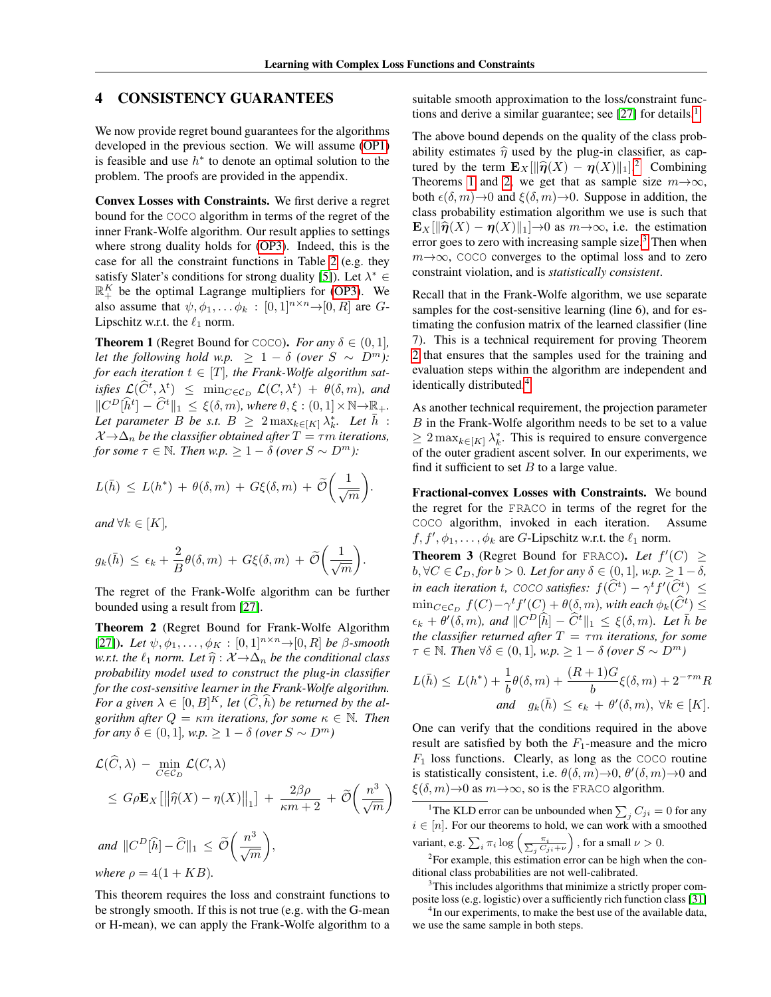# <span id="page-5-0"></span>4 CONSISTENCY GUARANTEES

We now provide regret bound guarantees for the algorithms developed in the previous section. We will assume [\(OP1\)](#page-1-0) is feasible and use  $h^*$  to denote an optimal solution to the problem. The proofs are provided in the appendix.

Convex Losses with Constraints. We first derive a regret bound for the COCO algorithm in terms of the regret of the inner Frank-Wolfe algorithm. Our result applies to settings where strong duality holds for [\(OP3\)](#page-3-1). Indeed, this is the case for all the constraint functions in Table [2](#page-2-1) (e.g. they satisfy Slater's conditions for strong duality [\[5\]](#page-8-28)). Let  $\lambda^* \in$  $\mathbb{R}^K_+$  be the optimal Lagrange multipliers for [\(OP3\)](#page-3-1). We also assume that  $\psi, \phi_1, \ldots, \phi_k : [0, 1]^{n \times n} \rightarrow [0, R]$  are G-Lipschitz w.r.t. the  $\ell_1$  norm.

<span id="page-5-3"></span>**Theorem 1** (Regret Bound for COCO). *For any*  $\delta \in (0, 1]$ , *let the following hold w.p.*  $\geq 1 - \delta$  *(over*  $S \sim D^m$ ): *for each iteration*  $t \in [T]$ *, the Frank-Wolfe algorithm satisfies*  $\mathcal{L}(\widehat{C}^t, \lambda^t) \leq \min_{C \in \mathcal{C}_D} \mathcal{L}(C, \lambda^t) + \theta(\delta, m)$ , and  $||C^D[\hat{h}^t] - \hat{C}^t||_1 \leq \xi(\delta, m)$ , where  $\theta, \xi : (0, 1] \times \mathbb{N} \rightarrow \mathbb{R}_+$ . Let parameter  $B$  be s.t.  $B \geq 2 \max_{k \in [K]} \lambda_k^*$ . Let  $\bar{h}$ :  $\mathcal{X} \rightarrow \Delta_n$  *be the classifier obtained after*  $T = \tau m$  *iterations, for some*  $\tau \in \mathbb{N}$ *. Then*  $w.p. \geq 1 - \delta$  *(over*  $S \sim D^m$ *):* 

$$
L(\bar{h}) \leq L(h^*) + \theta(\delta, m) + G\xi(\delta, m) + \widetilde{\mathcal{O}}\left(\frac{1}{\sqrt{m}}\right).
$$

*and* ∀ $k$  ∈  $[K]$ *,* 

$$
g_k(\bar{h}) \le \epsilon_k + \frac{2}{B}\theta(\delta, m) + G\xi(\delta, m) + \widetilde{\mathcal{O}}\left(\frac{1}{\sqrt{m}}\right).
$$

The regret of the Frank-Wolfe algorithm can be further bounded using a result from [\[27\]](#page-8-17).

<span id="page-5-4"></span>Theorem 2 (Regret Bound for Frank-Wolfe Algorithm [\[27\]](#page-8-17)). *Let*  $\psi, \phi_1, ..., \phi_K : [0, 1]^{n \times n} \to [0, R]$  *be*  $\beta$ *-smooth w.r.t. the*  $\ell_1$  *norm. Let*  $\hat{\eta}$  :  $X \rightarrow \Delta_n$  *be the conditional class probability model used to construct the plug-in classifier for the cost-sensitive learner in the Frank-Wolfe algorithm. For a given*  $\lambda \in [0, B]^K$ , let  $(\widehat{C}, \widehat{h})$  *be returned by the algorithm after*  $Q = \kappa m$  *iterations, for some*  $\kappa \in \mathbb{N}$ *. Then for any*  $\delta \in (0, 1]$ *, w.p.*  $\geq 1 - \delta$  *(over*  $S \sim D^m$ )

$$
\mathcal{L}(\widehat{C}, \lambda) - \min_{C \in C_D} \mathcal{L}(C, \lambda)
$$
\n
$$
\leq G \rho \mathbf{E}_X \left[ \left\| \widehat{\eta}(X) - \eta(X) \right\|_1 \right] + \frac{2\beta \rho}{\kappa m + 2} + \widetilde{\mathcal{O}}\left(\frac{n^3}{\sqrt{m}}\right)
$$
\nand 
$$
\|C^D[\widehat{h}] - \widehat{C}\|_1 \leq \widetilde{\mathcal{O}}\left(\frac{n^3}{\sqrt{m}}\right),
$$
\nwhere  $\rho = 4(1 + KB)$ .

This theorem requires the loss and constraint functions to be strongly smooth. If this is not true (e.g. with the G-mean or H-mean), we can apply the Frank-Wolfe algorithm to a suitable smooth approximation to the loss/constraint func-tions and derive a similar guarantee; see [\[27\]](#page-8-17) for details.<sup>[1](#page-5-1)</sup>

The above bound depends on the quality of the class probability estimates  $\hat{\eta}$  used by the plug-in classifier, as captured by the term  $\mathbf{E}_X[\|\hat{\eta}(X) - \eta(X)\|_1]^2$  $\mathbf{E}_X[\|\hat{\eta}(X) - \eta(X)\|_1]^2$  Combining<br>Theorems 1 and 2, we get that as sample size m, \co Theorems [1](#page-5-3) and [2,](#page-5-4) we get that as sample size  $m \rightarrow \infty$ , both  $\epsilon(\delta, m) \rightarrow 0$  and  $\xi(\delta, m) \rightarrow 0$ . Suppose in addition, the class probability estimation algorithm we use is such that  $\mathbf{E}_X[\|\hat{\eta}(X) - \eta(X)\|_1] \to 0$  as  $m \to \infty$ , i.e. the estimation error goes to zero with increasing sample size. $3$  Then when  $m \rightarrow \infty$ , COCO converges to the optimal loss and to zero constraint violation, and is *statistically consistent*.

Recall that in the Frank-Wolfe algorithm, we use separate samples for the cost-sensitive learning (line 6), and for estimating the confusion matrix of the learned classifier (line 7). This is a technical requirement for proving Theorem [2](#page-5-4) that ensures that the samples used for the training and evaluation steps within the algorithm are independent and identically distributed.[4](#page-5-6)

As another technical requirement, the projection parameter B in the Frank-Wolfe algorithm needs to be set to a value  $\geq 2 \max_{k \in [K]} \lambda_k^*$ . This is required to ensure convergence of the outer gradient ascent solver. In our experiments, we find it sufficient to set  $B$  to a large value.

Fractional-convex Losses with Constraints. We bound the regret for the FRACO in terms of the regret for the COCO algorithm, invoked in each iteration. Assume  $f, f', \phi_1, \ldots, \phi_k$  are *G*-Lipschitz w.r.t. the  $\ell_1$  norm.

**Theorem 3** (Regret Bound for FRACO). Let  $f'(C) \geq$  $b, \forall C \in \mathcal{C}_D,$  for  $b > 0$ *. Let for any*  $\delta \in (0, 1]$ *, w.p.*  $\geq 1 - \delta$ *, in each iteration t, COCO satisfies:*  $f(\widehat{C}^t) - \gamma^t f'(\widehat{C}^t) \leq$  $\min_{C \in \mathcal{C}_D} f(C) - \gamma^t f'(C) + \theta(\delta, m)$ *, with each*  $\phi_k(\widehat{C}_{\frac{1}{\epsilon}}^t) \leq$  $\epsilon_k + \theta'(\delta, m)$ *, and*  $||C^D[\hat{h}] - \hat{C}^t||_1 \leq \xi(\delta, m)$ *. Let*  $\bar{h}$  *be the classifier returned after*  $T = \tau m$  *iterations, for some*  $\tau \in \mathbb{N}$ *. Then*  $\forall \delta \in (0,1]$ *, w.p.*  $\geq 1 - \delta$  *(over*  $S \sim D^m$ )

$$
L(\bar{h}) \le L(h^*) + \frac{1}{b}\theta(\delta, m) + \frac{(R+1)G}{b}\xi(\delta, m) + 2^{-\tau m}R
$$
  
and  $g_k(\bar{h}) \le \epsilon_k + \theta'(\delta, m), \forall k \in [K].$ 

One can verify that the conditions required in the above result are satisfied by both the  $F_1$ -measure and the micro  $F_1$  loss functions. Clearly, as long as the COCO routine is statistically consistent, i.e.  $\theta(\delta, m) \rightarrow 0$ ,  $\theta'(\delta, m) \rightarrow 0$  and  $\xi(\delta, m) \to 0$  as  $m \to \infty$ , so is the FRACO algorithm.

<span id="page-5-1"></span><sup>1</sup>The KLD error can be unbounded when  $\sum_j C_{ji} = 0$  for any  $i \in [n]$ . For our theorems to hold, we can work with a smoothed variant, e.g.  $\sum_i \pi_i \log \left( \frac{\pi_i}{\sum_j C_{ji} + \nu} \right)$ , for a small  $\nu > 0$ .

<span id="page-5-2"></span> $2$ For example, this estimation error can be high when the conditional class probabilities are not well-calibrated.

<span id="page-5-5"></span><sup>3</sup>This includes algorithms that minimize a strictly proper composite loss (e.g. logistic) over a sufficiently rich function class [\[31\]](#page-8-29)

<span id="page-5-6"></span><sup>4</sup>In our experiments, to make the best use of the available data, we use the same sample in both steps.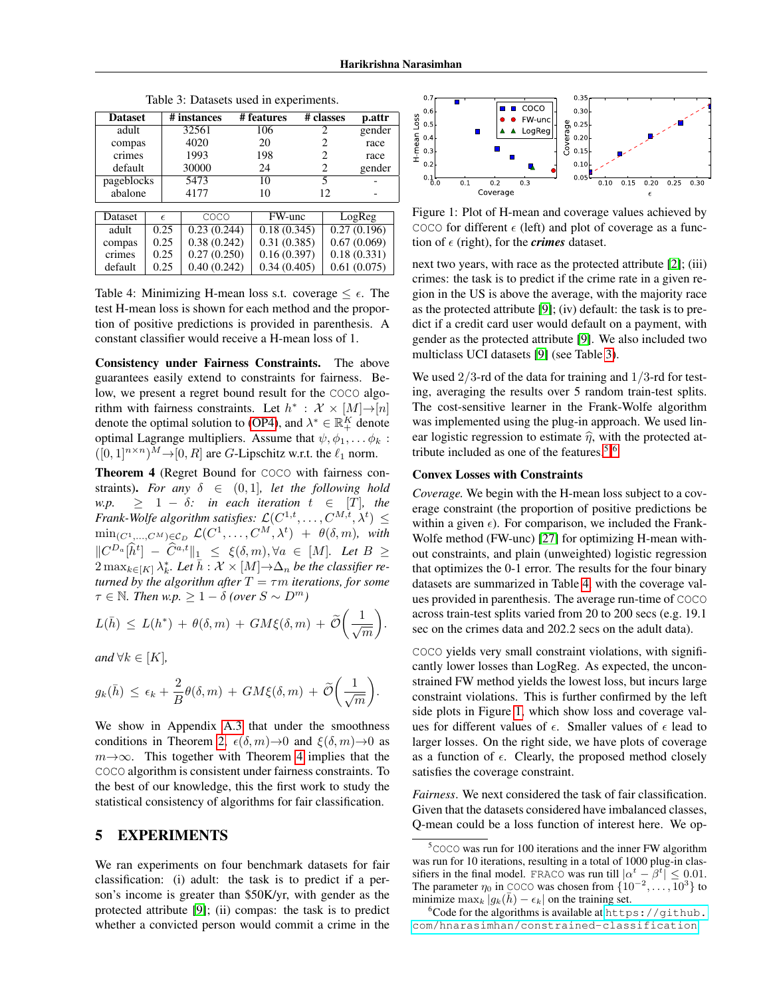| <b>Dataset</b> |  |            | # instances |  | # features  |   | # classes | p.attr      |
|----------------|--|------------|-------------|--|-------------|---|-----------|-------------|
| adult          |  | 32561      |             |  | 106         |   | 2         | gender      |
| compas         |  | 4020       |             |  | 20          |   | 2         | race        |
| crimes         |  | 1993       |             |  | 198         |   | 2         | race        |
| default        |  |            | 30000       |  | 24          | 2 |           | gender      |
| pageblocks     |  |            | 5473        |  | 10          | 5 |           |             |
| abalone        |  |            | 4177        |  | 10          |   | 12        |             |
|                |  |            |             |  |             |   |           |             |
| Dataset        |  | $\epsilon$ | COCO        |  | FW-unc      |   |           | LogReg      |
| adult          |  | 0.25       | 0.23(0.244) |  | 0.18(0.345) |   |           | 0.27(0.196) |
| compas         |  | 0.25       | 0.38(0.242) |  | 0.31(0.385) |   |           | 0.67(0.069) |
| crimes         |  | 0.25       | 0.27(0.250) |  | 0.16(0.397) |   |           | 0.18(0.331) |
| default        |  | 0.25       | 0.40(0.242) |  | 0.34(0.405) |   |           | 0.61(0.075) |

<span id="page-6-1"></span>Table 3: Datasets used in experiments.

<span id="page-6-4"></span>Table 4: Minimizing H-mean loss s.t. coverage  $\leq \epsilon$ . The test H-mean loss is shown for each method and the proportion of positive predictions is provided in parenthesis. A constant classifier would receive a H-mean loss of 1.

Consistency under Fairness Constraints. The above guarantees easily extend to constraints for fairness. Below, we present a regret bound result for the COCO algorithm with fairness constraints. Let  $h^*$ :  $\mathcal{X} \times [M] \rightarrow [n]$ denote the optimal solution to [\(OP4\)](#page-4-1), and  $\lambda^* \in \mathbb{R}_+^K$  denote optimal Lagrange multipliers. Assume that  $\psi, \phi_1, \dots \phi_k$ :  $([0, 1]^{n \times n})^M \rightarrow [0, R]$  are G-Lipschitz w.r.t. the  $\ell_1$  norm.

<span id="page-6-0"></span>Theorem 4 (Regret Bound for COCO with fairness constraints). For any  $\delta \in (0,1]$ , let the following hold  $w.p. \geq 1 - \delta$ *:* in each iteration  $t \in [T]$ , the *Frank-Wolfe algorithm satisfies:*  $\mathcal{L}(C^{1,t}, \ldots, C^{M,t}, \lambda^t) \leq$  $\min_{(C^1,...,C^M) \in \mathcal{C}_D} \mathcal{L}(C^1,...,C^M,\lambda^t) + \theta(\delta,m)$ , with  $\|C^{D_a}[\hat{h}^t] - \hat{C}^{a,t}\|_1 \leq \xi(\delta, m), \forall a \in [M].$  Let  $B \geq$  $2\max_{k\in[K]}\lambda_k^*$ . Let  $\bar h:\mathcal X\times [M]{\rightarrow}\Delta_n$  be the classifier re*turned by the algorithm after*  $T = \tau m$  *iterations, for some*  $\tau \in \mathbb{N}$ *. Then* w.p.  $\geq 1 - \delta$  (over  $S \sim D^m$ )

$$
L(\bar{h}) \leq L(h^*) + \theta(\delta, m) + GM\xi(\delta, m) + \widetilde{\mathcal{O}}\left(\frac{1}{\sqrt{m}}\right).
$$

*and*  $\forall k \in [K]$ *,* 

$$
g_k(\bar{h}) \le \epsilon_k + \frac{2}{B}\theta(\delta, m) + GM\xi(\delta, m) + \widetilde{\mathcal{O}}\left(\frac{1}{\sqrt{m}}\right).
$$

We show in Appendix A.3 that under the smoothness conditions in Theorem [2,](#page-5-4)  $\epsilon(\delta, m) \rightarrow 0$  and  $\xi(\delta, m) \rightarrow 0$  as  $m\rightarrow\infty$ . This together with Theorem [4](#page-6-0) implies that the COCO algorithm is consistent under fairness constraints. To the best of our knowledge, this the first work to study the statistical consistency of algorithms for fair classification.

# 5 EXPERIMENTS

We ran experiments on four benchmark datasets for fair classification: (i) adult: the task is to predict if a person's income is greater than \$50K/yr, with gender as the protected attribute [\[9\]](#page-8-30); (ii) compas: the task is to predict whether a convicted person would commit a crime in the



<span id="page-6-5"></span>Figure 1: Plot of H-mean and coverage values achieved by COCO for different  $\epsilon$  (left) and plot of coverage as a function of  $\epsilon$  (right), for the *crimes* dataset.

next two years, with race as the protected attribute [\[2\]](#page-8-31); (iii) crimes: the task is to predict if the crime rate in a given region in the US is above the average, with the majority race as the protected attribute [\[9\]](#page-8-30); (iv) default: the task is to predict if a credit card user would default on a payment, with gender as the protected attribute [\[9\]](#page-8-30). We also included two multiclass UCI datasets [\[9\]](#page-8-30) (see Table [3\)](#page-6-1).

We used 2/3-rd of the data for training and 1/3-rd for testing, averaging the results over 5 random train-test splits. The cost-sensitive learner in the Frank-Wolfe algorithm was implemented using the plug-in approach. We used linear logistic regression to estimate  $\hat{\eta}$ , with the protected at-tribute included as one of the features.<sup>[5](#page-6-2),[6](#page-6-3)</sup>

#### Convex Losses with Constraints

*Coverage.* We begin with the H-mean loss subject to a coverage constraint (the proportion of positive predictions be within a given  $\epsilon$ ). For comparison, we included the Frank-Wolfe method (FW-unc) [\[27\]](#page-8-17) for optimizing H-mean without constraints, and plain (unweighted) logistic regression that optimizes the 0-1 error. The results for the four binary datasets are summarized in Table [4,](#page-6-4) with the coverage values provided in parenthesis. The average run-time of COCO across train-test splits varied from 20 to 200 secs (e.g. 19.1 sec on the crimes data and 202.2 secs on the adult data).

COCO yields very small constraint violations, with significantly lower losses than LogReg. As expected, the unconstrained FW method yields the lowest loss, but incurs large constraint violations. This is further confirmed by the left side plots in Figure [1,](#page-6-5) which show loss and coverage values for different values of  $\epsilon$ . Smaller values of  $\epsilon$  lead to larger losses. On the right side, we have plots of coverage as a function of  $\epsilon$ . Clearly, the proposed method closely satisfies the coverage constraint.

*Fairness*. We next considered the task of fair classification. Given that the datasets considered have imbalanced classes, Q-mean could be a loss function of interest here. We op-

<span id="page-6-2"></span> $5<sub>COCO</sub>$  was run for 100 iterations and the inner FW algorithm was run for 10 iterations, resulting in a total of 1000 plug-in classifiers in the final model. FRACO was run till  $|\alpha^t - \beta^t| \le 0.01$ . The parameter  $\eta_0$  in COCO was chosen from  $\{10^{-2}, \ldots, 10^3\}$  to minimize max<sub>k</sub>  $|g_k(\bar{h}) - \epsilon_k|$  on the training set.

<span id="page-6-3"></span> $^{6}$ Code for the algorithms is available at [https://github.](https://github.com/hnarasimhan/constrained-classification) [com/hnarasimhan/constrained-classification](https://github.com/hnarasimhan/constrained-classification)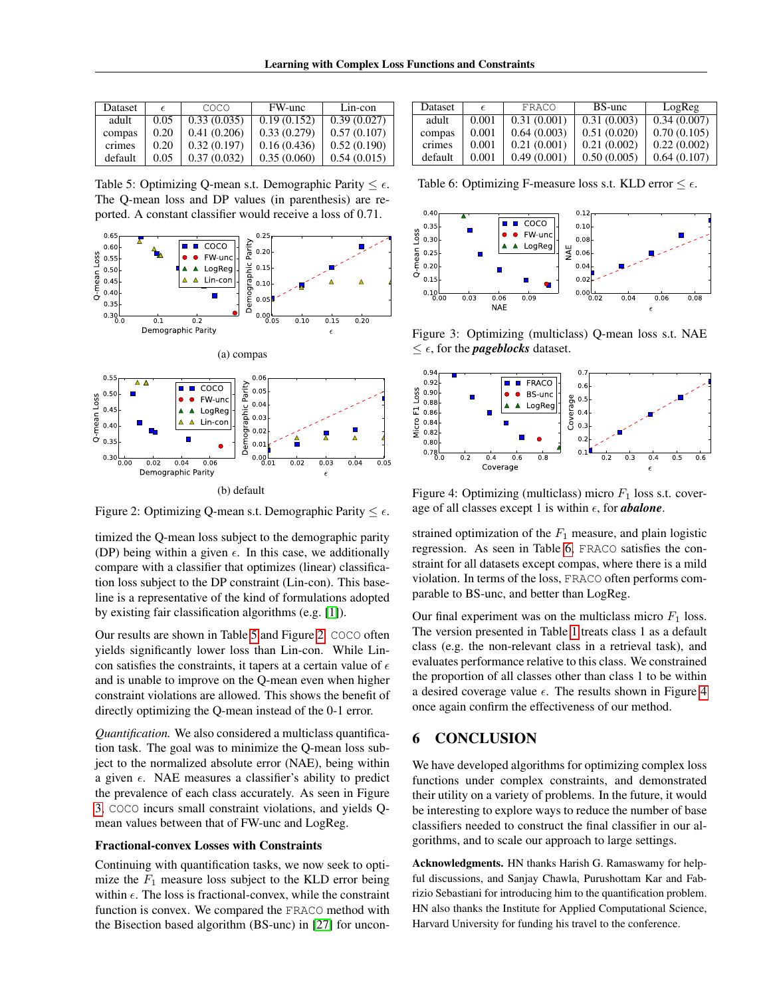| Dataset |      | COCO        | FW-unc      | Lin-con     |
|---------|------|-------------|-------------|-------------|
| adult   | 0.05 | 0.33(0.035) | 0.19(0.152) | 0.39(0.027) |
| compas  | 0.20 | 0.41(0.206) | 0.33(0.279) | 0.57(0.107) |
| crimes  | 0.20 | 0.32(0.197) | 0.16(0.436) | 0.52(0.190) |
| default | 0.05 | 0.37(0.032) | 0.35(0.060) | 0.54(0.015) |

<span id="page-7-0"></span>Table 5: Optimizing Q-mean s.t. Demographic Parity  $\leq \epsilon$ . The Q-mean loss and DP values (in parenthesis) are reported. A constant classifier would receive a loss of 0.71.



<span id="page-7-1"></span>Figure 2: Optimizing Q-mean s.t. Demographic Parity  $\leq \epsilon$ .

timized the Q-mean loss subject to the demographic parity (DP) being within a given  $\epsilon$ . In this case, we additionally compare with a classifier that optimizes (linear) classification loss subject to the DP constraint (Lin-con). This baseline is a representative of the kind of formulations adopted by existing fair classification algorithms (e.g. [\[1\]](#page-8-11)).

Our results are shown in Table [5](#page-7-0) and Figure [2.](#page-7-1) COCO often yields significantly lower loss than Lin-con. While Lincon satisfies the constraints, it tapers at a certain value of  $\epsilon$ and is unable to improve on the Q-mean even when higher constraint violations are allowed. This shows the benefit of directly optimizing the Q-mean instead of the 0-1 error.

*Quantification.* We also considered a multiclass quantification task. The goal was to minimize the Q-mean loss subject to the normalized absolute error (NAE), being within a given  $\epsilon$ . NAE measures a classifier's ability to predict the prevalence of each class accurately. As seen in Figure [3,](#page-7-2) COCO incurs small constraint violations, and yields Qmean values between that of FW-unc and LogReg.

#### Fractional-convex Losses with Constraints

Continuing with quantification tasks, we now seek to optimize the  $F_1$  measure loss subject to the KLD error being within  $\epsilon$ . The loss is fractional-convex, while the constraint function is convex. We compared the FRACO method with the Bisection based algorithm (BS-unc) in [\[27\]](#page-8-17) for uncon-

| Dataset |       | FRACO       | BS-unc      | LogReg      |
|---------|-------|-------------|-------------|-------------|
| adult   | 0.001 | 0.31(0.001) | 0.31(0.003) | 0.34(0.007) |
| compas  | 0.001 | 0.64(0.003) | 0.51(0.020) | 0.70(0.105) |
| crimes  | 0.001 | 0.21(0.001) | 0.21(0.002) | 0.22(0.002) |
| default | 0.001 | 0.49(0.001) | 0.50(0.005) | 0.64(0.107) |

<span id="page-7-3"></span>Table 6: Optimizing F-measure loss s.t. KLD error  $\leq \epsilon$ .



<span id="page-7-2"></span>Figure 3: Optimizing (multiclass) Q-mean loss s.t. NAE  $\leq \epsilon$ , for the *pageblocks* dataset.



<span id="page-7-4"></span>Figure 4: Optimizing (multiclass) micro  $F_1$  loss s.t. coverage of all classes except 1 is within  $\epsilon$ , for **abalone**.

strained optimization of the  $F_1$  measure, and plain logistic regression. As seen in Table [6,](#page-7-3) FRACO satisfies the constraint for all datasets except compas, where there is a mild violation. In terms of the loss, FRACO often performs comparable to BS-unc, and better than LogReg.

Our final experiment was on the multiclass micro  $F_1$  loss. The version presented in Table [1](#page-2-0) treats class 1 as a default class (e.g. the non-relevant class in a retrieval task), and evaluates performance relative to this class. We constrained the proportion of all classes other than class 1 to be within a desired coverage value  $\epsilon$ . The results shown in Figure [4](#page-7-4) once again confirm the effectiveness of our method.

# 6 CONCLUSION

We have developed algorithms for optimizing complex loss functions under complex constraints, and demonstrated their utility on a variety of problems. In the future, it would be interesting to explore ways to reduce the number of base classifiers needed to construct the final classifier in our algorithms, and to scale our approach to large settings.

Acknowledgments. HN thanks Harish G. Ramaswamy for helpful discussions, and Sanjay Chawla, Purushottam Kar and Fabrizio Sebastiani for introducing him to the quantification problem. HN also thanks the Institute for Applied Computational Science, Harvard University for funding his travel to the conference.